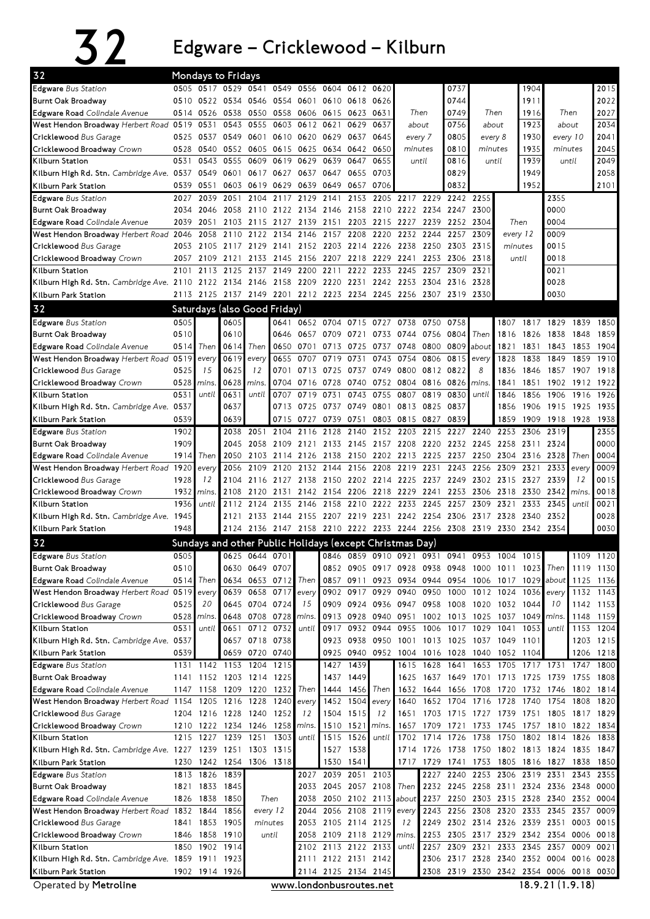## 32 Edgware–Cricklewood–Kilburn

| 32                                                                                                    |              | <b>Mondays to Fridays</b>    |                     |                |              |                   |                                                             |                   |                                              |                |           |              |                                     |                |              |                                                           |             |              |
|-------------------------------------------------------------------------------------------------------|--------------|------------------------------|---------------------|----------------|--------------|-------------------|-------------------------------------------------------------|-------------------|----------------------------------------------|----------------|-----------|--------------|-------------------------------------|----------------|--------------|-----------------------------------------------------------|-------------|--------------|
| Edgware Bus Station                                                                                   |              | 0505 0517 0529 0541          |                     |                |              | 0549 0556         | 0604 0612 0620                                              |                   |                                              |                |           | 0737         |                                     |                | 1904         |                                                           |             | 2015         |
| Burnt Oak Broadway                                                                                    | 0510         |                              | 0522 0534 0546      |                |              | 0554 0601         |                                                             | 0610 0618 0626    |                                              |                |           | 0744         |                                     |                | 1911         |                                                           |             | 2022         |
| <b>Edgware Road</b> Colindale Avenue                                                                  | 0514         | 0526                         | 0538                | 0550           |              | 0558 0606         | 0615                                                        | 0623 0631         |                                              | Then           |           | 0749         |                                     | Then           | 1916         | Then                                                      |             | 2027         |
| West Hendon Broadway Herbert Road 0519                                                                |              | 0531                         | 0543                | 0555           |              | 0603 0612         | 0621                                                        | 0629              | 0637                                         | about          |           | 0756         |                                     | about          | 1923         | about                                                     |             | 2034         |
| Cricklewood Bus Garage                                                                                | 0525         | 0537                         | 0549                | 0601           |              | 0610 0620         | 0629                                                        | 0637 0645         |                                              | every 7        |           | 0805         |                                     | every 8        | 1930         | every 10                                                  |             | 2041         |
| Cricklewood Broadway Crown                                                                            | 0528         | 0540                         | 0552                | 0605           |              | 0615 0625         | 0634                                                        | 0642 0650         |                                              | minutes        |           | 0810         | minutes                             |                | 1935         | minutes                                                   |             | 2045         |
| Kilburn Station                                                                                       | 0531         | 0543                         | 0555                | 0609           | 0619         | 0629              | 0639                                                        | 0647              | 0655                                         |                | until     | 0816         |                                     | until          | 1939         | until                                                     |             | 2049<br>2058 |
| Kilburn High Rd. Stn. <i>Cambridge Ave.</i> 0537<br>Kilburn Park Station                              | 0539         | 0549<br>0551                 | 0601<br>0603        | 0617<br>0619   | 0627<br>0629 | 0637<br>0639      | 0647<br>0649                                                | 0655<br>0657 0706 | 0703                                         |                |           | 0829<br>0832 |                                     |                | 1949<br>1952 |                                                           |             | 2101         |
| <b>Edgware</b> Bus Station                                                                            | 2027         | 2039                         | 2051                | 2104           | 2117         | 2129              | 2141                                                        | 2153              | 2205                                         | 2217           | 2229      | 2242 2255    |                                     |                |              | 2355                                                      |             |              |
| Burnt Oak Broadway                                                                                    | 2034         | 2046                         | 2058                |                |              |                   | 2110 2122 2134 2146 2158 2210 2222 2234 2247                |                   |                                              |                |           |              | 2300                                |                |              | 0000                                                      |             |              |
| Edgware Road Colindale Avenue                                                                         | 2039         | 2051                         | 2103                | 2115           |              | 2127 2139         | 2151                                                        |                   | 2203 2215                                    | 2227 2239      |           | 2252 2304    |                                     |                | Then         | 0004                                                      |             |              |
| West Hendon Broadway Herbert Road 2046                                                                |              | 2058                         | 2110                | 2122           | 2134         | 2146              | 2157                                                        | 2208              | 2220                                         | 2232           | 2244      | 2257         | 2309                                | every 12       |              | 0009                                                      |             |              |
| Cricklewood Bus Garage                                                                                | 2053         |                              | 2105 2117 2129      |                | 2141         |                   | 2152 2203                                                   | 2214 2226         |                                              | 2238           | 2250      | 2303         | 2315                                | minutes        |              | 0015                                                      |             |              |
| Cricklewood Broadway Crown                                                                            | 2057         | 2109                         | 2121                | 2133           | 2145         | 2156              | 2207                                                        | 2218              | 2229                                         | 2241           | 2253      | 2306         | 2318                                |                | until        | 0018                                                      |             |              |
| Kilburn Station                                                                                       | 2101         | 2113                         | 2125                | 2137           | 2149         | 2200              | 2211                                                        | 2222              | 2233                                         | 2245           | 2257      | 2309         | 2321                                |                |              | 0021                                                      |             |              |
| Kilburn High Rd. Stn. Cambridge Ave. 2110 2122 2134 2146 2158 2209 2220 2231 2242 2253 2304 2316 2328 |              |                              |                     |                |              |                   |                                                             |                   |                                              |                |           |              |                                     |                |              | 0028                                                      |             |              |
| Kilburn Park Station                                                                                  |              |                              |                     |                |              |                   | 2113 2125 2137 2149 2201 2212 2223 2234 2245 2256 2307 2319 |                   |                                              |                |           |              | 2330                                |                |              | 0030                                                      |             |              |
| 32                                                                                                    |              | Saturdays (also Good Friday) |                     |                |              |                   |                                                             |                   |                                              |                |           |              |                                     |                |              |                                                           |             |              |
| Edgware Bus Station                                                                                   | 0505         |                              | 0605                |                | 0641         |                   | 0652 0704                                                   | 0715 0727         |                                              | 0738           | 0750      | 0758         |                                     | 1807           |              | 1817 1829                                                 | 1839        | 1850         |
| Burnt Oak Broadway                                                                                    | 0510         |                              | 0610                |                |              | 0646 0657         | 0709 0721 0733                                              |                   |                                              | 0744 0756 0804 |           |              | Then                                | 1816           | 1826 1838    |                                                           | 1848        | 1859         |
| Edgware Road Colindale Avenue                                                                         | 0514         | Then                         | 0614                | Then           |              | 0650 0701         | 0713                                                        | 0725 0737         |                                              | 0748           | 0800      | 0809         | about                               | 1821           | 1831         | 1843                                                      | 1853        | 1904         |
| West Hendon Broadway Herbert Road 0519                                                                |              | every                        | 0619                | every          | 0655         | 0707              | 0719                                                        | 0731              | 0743                                         | 0754           | 0806      | 0815         | every                               | 1828           | 1838         | 1849                                                      | 1859        | 1910         |
| Cricklewood Bus Garage                                                                                | 0525         | 15                           | 0625                | 12             | 0701         | 0713              | 0725                                                        | 0737 0749         |                                              | 0800           | 0812 0822 |              | 8                                   | 1836           | 1846         | 1857                                                      | 1907        | 1918         |
| Cricklewood Broadway Crown                                                                            | 0528         | mins.                        | 0628                | mins.          | 0704         | 0716              | 0728                                                        | 0740              | 0752                                         | 0804           | 0816 0826 |              | mins.                               | 1841           | 1851         | 1902                                                      | 1912        | 1922         |
| Kilburn Station                                                                                       | 0531         | until                        | 0631                | until          | 0707         | 0719              | 0731                                                        | 0743              | 0755                                         | 0807           | 0819      | 0830         | until                               | 1846           | 1856         | 1906                                                      | 1916        | 1926         |
| Kilburn High Rd. Stn. Cambridge Ave. 0537                                                             |              |                              | 0637                |                |              | 0713 0725         | 0737                                                        |                   | 0749 0801                                    | 0813 0825      |           | 0837         |                                     | 1856           | 1906         | 1915                                                      | 1925        | 1935         |
| Kilburn Park Station                                                                                  | 0539         |                              | 0639                |                |              |                   | 0715 0727 0739 0751                                         |                   | 0803 0815 0827                               |                |           | 0839         |                                     | 1859           | 1909         | 1918 1928                                                 |             | 1938         |
| Edgware Bus Station                                                                                   | 1902         |                              | 2038                | 2051           | 2104         | 2116              | 2128                                                        | 2140              | 2152 2203                                    |                |           | 2215 2227    | 2240                                | 2253           | 2306 2319    |                                                           |             | 2355         |
| Burnt Oak Broadway                                                                                    | 1909<br>1914 |                              | 2045<br>2050        | 2058<br>2103   |              | 2109 2121 2133    |                                                             |                   | 2145 2157 2208 2220                          |                |           | 2232         | 2245                                | 2258           | 2311 2324    | 2304 2316 2328                                            | Then        | 0000<br>0004 |
| <b>Edgware Road</b> Colindale Avenue<br>West Hendon Broadway Herbert Road 1920                        |              | Then<br>every                | 2056                | 2109           | 2120         | 2114 2126<br>2132 | 2138<br>2144                                                | 2156              | 2150 2202 2213 2225 2237<br>2208             | 2219           | 2231      | 2243         | 2250<br>2256                        | 2309           | 2321         | 2333                                                      | every       | 0009         |
| Cricklewood Bus Garage                                                                                | 1928         | 12                           | 2104                | 2116           | 2127         | 2138              | 2150                                                        |                   | 2202 2214 2225 2237 2249                     |                |           |              | 2302                                | 2315           | 2327         | 2339                                                      | 12          | 0015         |
| Cricklewood Broadway Crown                                                                            | 1932         | mins.                        | 2108                | 2120           | 2131         |                   | 2142 2154 2206 2218 2229                                    |                   |                                              |                | 2241      | 2253         | 2306                                | 2318           | 2330         | 2342                                                      | <i>mins</i> | 0018         |
| Kilburn Station                                                                                       | 1936         | until                        | 2112                | 2124           | 2135         | 2146              | 2158                                                        |                   | 2210 2222                                    | 2233           | 2245      | 2257         | 2309                                | 2321           | 2333         | 2345                                                      | until       | 0021         |
| Kilburn High Rd. Stn. Cambridge Ave. 1945                                                             |              |                              | 2121                |                |              |                   | 2133 2144 2155 2207 2219 2231 2242 2254 2306                |                   |                                              |                |           |              | 2317                                | 2328           | 2340         | 2352                                                      |             | 0028         |
| Kilburn Park Station                                                                                  | 1948         |                              |                     |                |              |                   | 2124 2136 2147 2158 2210 2222 2233 2244 2256 2308 2319 2330 |                   |                                              |                |           |              |                                     |                | 2342 2354    |                                                           |             | 0030         |
| 32                                                                                                    |              |                              |                     |                |              |                   | Sundays and other Public Holidays (except Christmas Day)    |                   |                                              |                |           |              |                                     |                |              |                                                           |             |              |
| Edgware Bus Station                                                                                   | 0505         |                              |                     | 0625 0644 0701 |              |                   |                                                             |                   | 0846 0859 0910 0921 0931 0941                |                |           |              |                                     | 0953 1004 1015 |              |                                                           |             | 1109 1120    |
| <b>Burnt Oak Broadway</b>                                                                             | 0510         |                              |                     | 0630 0649 0707 |              |                   |                                                             |                   | 0852 0905 0917 0928 0938 0948 1000 1011 1023 |                |           |              |                                     |                |              | Then                                                      |             | 1119 1130    |
| Edgware Road Colindale Avenue                                                                         |              | $0514$ Then                  |                     | 0634 0653 0712 |              | Then              |                                                             |                   |                                              |                |           |              |                                     |                |              | 0857 0911 0923 0934 0944 0954 1006 1017 1029 about        |             | 1125 1136    |
| West Hendon Broadway Herbert Road 0519                                                                |              | every                        |                     | 0639 0658 0717 |              | every             |                                                             | 0902 0917 0929    |                                              |                |           |              | 0940 0950 1000 1012 1024            |                | 1036         | every                                                     | 1132        | 1143         |
| Cricklewood Bus Garage                                                                                | 0525         | 20                           |                     | 0645 0704 0724 |              | 15                |                                                             |                   | 0909 0924 0936 0947 0958 1008 1020 1032 1044 |                |           |              |                                     |                |              | 10                                                        |             | 1142 1153    |
| Cricklewood Broadway Crown                                                                            | 0528         | mins.                        |                     | 0648 0708 0728 |              | mins.             |                                                             | 0913 0928 0940    |                                              |                |           |              | 0951 1002 1013 1025 1037            |                | 1049         | mins.                                                     | 1148        | 1159         |
| Kilburn Station                                                                                       | 0531         | until                        |                     | 0651 0712 0732 |              | until             | 0917                                                        | 0932 0944         |                                              |                |           |              | 0955 1006 1017 1029 1041            |                | 1053         | until                                                     |             | 1153 1204    |
| Kilburn High Rd. Stn. <i>Cambridge Ave.</i> 0537                                                      |              |                              |                     | 0657 0718 0738 |              |                   |                                                             | 0923 0938 0950    |                                              |                |           |              | 1001 1013 1025 1037 1049 1101       |                |              |                                                           |             | 1203 1215    |
| Kilburn Park Station                                                                                  | 0539         |                              |                     | 0659 0720 0740 |              |                   |                                                             |                   | 0925 0940 0952 1004 1016 1028 1040 1052 1104 |                |           |              |                                     |                |              |                                                           |             | 1206 1218    |
| Edgware Bus Station                                                                                   |              | 1131 1142 1153 1204 1215     |                     |                |              |                   | 1427                                                        | 1439              |                                              |                |           |              | 1615 1628 1641 1653 1705            |                | 1717 1731    |                                                           | 1747        | 1800         |
| Burnt Oak Broadway                                                                                    |              | 1141 1152 1203 1214 1225     |                     |                |              |                   |                                                             | 1437 1449         |                                              |                |           |              | 1625 1637 1649 1701 1713 1725 1739  |                |              |                                                           | 1755        | 1808         |
| Edgware Road Colindale Avenue                                                                         |              | 1147 1158 1209 1220 1232     |                     |                |              | Then              |                                                             | 1444 1456 Then    |                                              |                |           |              | 1632 1644 1656 1708 1720            |                | 1732 1746    |                                                           |             | 1802 1814    |
| West Hendon Broadway Herbert Road 1154                                                                |              |                              | 1205 1216 1228 1240 |                |              | every             |                                                             | 1452 1504         | every                                        | 1640           |           | 1652 1704    | 1716 1728                           |                |              | 1740 1754                                                 | 1808        | 1820         |
| Cricklewood Bus Garage                                                                                |              | 1204 1216 1228 1240 1252     |                     |                |              | 12                |                                                             | 1504 1515         | 12                                           |                |           |              |                                     |                |              | 1651 1703 1715 1727 1739 1751 1805 1817 1829              |             |              |
| Cricklewood Broadway Crown                                                                            |              | 1210 1222 1234 1246 1258     |                     |                |              | mins.             |                                                             | 1510 1521         | mins.                                        |                |           |              |                                     |                |              | 1657 1709 1721 1733 1745 1757 1810 1822 1834              |             |              |
| Kilburn Station<br>Kilburn High Rd. Stn. Cambridge Ave. 1227 1239 1251 1303 1315                      |              | 1215 1227                    | 1239 1251           |                | 1303         | until             | 1515                                                        | 1526<br>1527 1538 | until                                        | 1702           |           | 1714 1726    | 1738                                | 1750           |              | 1802 1814<br>1714 1726 1738 1750 1802 1813 1824 1835 1847 | 1826        | 1838         |
| Kilburn Park Station                                                                                  |              | 1230 1242 1254 1306 1318     |                     |                |              |                   |                                                             | 1530 1541         |                                              |                |           |              | 1717 1729 1741 1753 1805 1816 1827  |                |              |                                                           | 1838        | 1850         |
| Edgware Bus Station                                                                                   |              | 1813 1826 1839               |                     |                |              |                   | 2027 2039                                                   |                   | 2051 2103                                    |                |           |              | 2227 2240 2253 2306 2319 2331       |                |              |                                                           | 2343        | 2355         |
| Burnt Oak Broadway                                                                                    |              | 1821 1833 1845               |                     |                |              | 2033              |                                                             | 2045 2057 2108    |                                              |                |           |              |                                     |                |              | Then 2232 2245 2258 2311 2324 2336 2348 0000              |             |              |
| Edgware Road Colindale Avenue                                                                         |              | 1826 1838 1850               |                     |                | Then         | 2038              |                                                             | 2050 2102 2113    |                                              |                |           |              | about 2237 2250 2303 2315 2328 2340 |                |              |                                                           | 2352 0004   |              |
| West Hendon Broadway Herbert Road 1832 1844                                                           |              |                              | 1856                |                | every 12     | 2044              |                                                             | 2056 2108 2119    |                                              | every          |           |              | 2243 2256 2308 2320                 |                |              | 2333 2345 2357                                            |             | 0009         |
| Cricklewood Bus Garage                                                                                |              | 1841 1853 1905               |                     | minutes        |              |                   | 2053 2105 2114 2125                                         |                   |                                              | 12             | 2249      |              | 2302 2314 2326 2339 2351            |                |              |                                                           | 0003        | 0015         |
| Cricklewood Broadway Crown                                                                            |              | 1846 1858 1910               |                     |                | until        |                   | 2058 2109 2118 2129                                         |                   |                                              | mins.          |           |              |                                     |                |              | 2253 2305 2317 2329 2342 2354 0006 0018                   |             |              |
| Kilburn Station                                                                                       |              | 1850 1902 1914               |                     |                |              |                   | 2102 2113 2122 2133                                         |                   |                                              | until          |           |              |                                     |                |              | 2257 2309 2321 2333 2345 2357 0009                        |             | 0021         |
| Kilburn High Rd. Stn. Cambridge Ave. 1859 1911 1923                                                   |              |                              |                     |                |              |                   | 2111 2122 2131 2142                                         |                   |                                              |                |           |              | 2306 2317 2328 2340 2352 0004       |                |              |                                                           |             | 0016 0028    |
| Kilburn Park Station                                                                                  |              | 1902 1914 1926               |                     |                |              |                   | 2114 2125 2134 2145                                         |                   |                                              |                |           |              |                                     |                |              | 2308 2319 2330 2342 2354 0006 0018 0030                   |             |              |

Operated by Metroline www.londonbusroutes.net